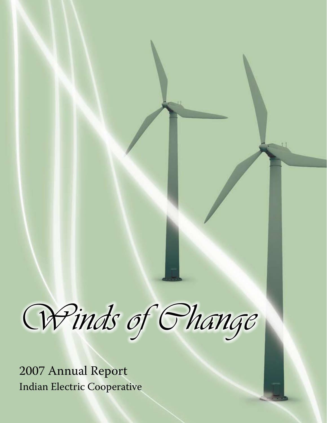Winds of Change

Indian Electric Cooperative 2007 Annual Report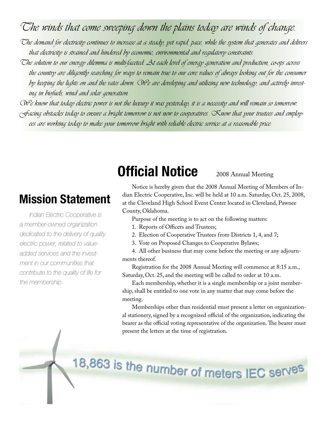### The winds that come sweeping down the plains today are winds of change.

The demand for electricity continues to increase at a steady, yet rapid, pace, while the system that generates and delivers that electricity is strained and hindered by economic, environmental and regulatory constraints.

- The solution to our energy dilemma is multi-faceted. At each level of energy generation and production, co-ops across the country are diligently searching for ways to remain true to our core values of always looking out for the consumer by keeping the lights on and the rates down. We are developing and utilizing new technology, and actively investing in biofuels, wind and solar generation.
- We know that today electric power is not the luxury it was yesterday; it is a necessity and will remain so tomorrow.  $\sqrt{f}$ acing obstacles today to ensure a bright tomorrow is not new to cooperatives.  $\propto$ now that your trustees and employees are working today to make your tomorrow bright with reliable electric service at a reasonable price.

### **Mission Statement**

*Indian Electric Cooperative is a member-owned organization dedicated to the delivery of quality electric power, related to valueadded services and the investment in our communities that contribute to the quality of life for the membership.*

## **Official Notice**

### 2008 Annual Meeting

Notice is hereby given that the 2008 Annual Meeting of Members of Indian Electric Cooperative, Inc. will be held at 10 a.m. Saturday, Oct. 25, 2008, at the Cleveland High School Event Center located in Cleveland, Pawnee County, Oklahoma.

Purpose of the meeting is to act on the following matters:

- 1. Reports of Officers and Trustees;
- 2. Election of Cooperative Trustees from Districts 1, 4, and 7;
- 3. Vote on Proposed Changes to Cooperative Bylaws;

4. All other business that may come before the meeting or any adjournments thereof.

Registration for the 2008 Annual Meeting will commence at 8:15 a.m., Saturday, Oct. 25, and the meeting will be called to order at 10 a.m.

Each membership, whether it is a single membership or a joint membership, shall be entitled to one vote in any matter that may come before the meeting.

Memberships other than residential must present a letter on organizational stationery, signed by a recognized official of the organization, indicating the bearer as the official voting representative of the organization. The bearer must present the letters at the time of registration.

# 18,863 is the number of meters IEC serves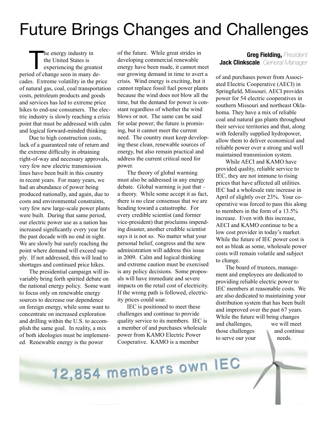## Future Brings Changes and Challenges

The energy industry in<br>
the United States is<br>
experiencing the greatest<br>
and of shares again in magnetic the United States is period of change seen in many decades. Extreme volatility in the price of natural gas, coal, coal transportation costs, petroleum products and goods and services has led to extreme price hikes to end-use consumers. The electric industry is slowly reaching a crisis point that must be addressed with calm and logical forward-minded thinking.

Due to high construction costs, lack of a guaranteed rate of return and the extreme difficulty in obtaining right-of-way and necessary approvals, very few new electric transmission lines have been built in this country in recent years. For many years, we had an abundance of power being produced nationally, and again, due to costs and environmental constraints, very few new large-scale power plants were built. During that same period, our electric power use as a nation has increased significantly every year for the past decade with no end in sight. We are slowly but surely reaching the point where demand will exceed supply. If not addressed, this will lead to shortages and continued price hikes.

The presidential campaign will invariably bring forth spirited debate on the national energy policy. Some want to focus only on renewable energy sources to decrease our dependence on foreign energy, while some want to concentrate on increased exploration and drilling within the U.S. to accomplish the same goal. In reality, a mix of both ideologies must be implemented. Renewable energy is the power

of the future. While great strides in developing commercial renewable energy have been made, it cannot meet our growing demand in time to avert a crisis. Wind energy is exciting, but it cannot replace fossil fuel power plants because the wind does not blow all the time, but the demand for power is constant regardless of whether the wind blows or not. The same can be said for solar power; the future is promising, but it cannot meet the current need. The country must keep developing these clean, renewable sources of energy, but also remain practical and address the current critical need for power.

The theory of global warming must also be addressed in any energy debate. Global warming is just that – a theory. While some accept it as fact, there is no clear consensus that we are heading toward a catastrophe. For every credible scientist (and former vice-president) that proclaims impending disaster, another credible scientist says it is not so. No matter what your personal belief, congress and the new administration will address this issue in 2009. Calm and logical thinking and extreme caution must be exercised is any policy decisions. Some proposals will have immediate and severe impacts on the retail cost of electricity. If the wrong path is followed, electricity prices could soar.

IEC is positioned to meet these challenges and continue to provide quality service to its members. IEC is a member of and purchases wholesale power from KAMO Electric Power Cooperative. KAMO is a member

#### **Greg Fielding**, *President* **Jack Clinkscale**, *General Manager*

of and purchases power from Associated Electric Cooperative (AECI) in Springfield, Missouri. AECI provides power for 54 electric cooperatives in southern Missouri and northeast Oklahoma. They have a mix of reliable coal and natural gas plants throughout their service territories and that, along with federally supplied hydropower, allow them to deliver economical and reliable power over a strong and well maintained transmission system.

While AECI and KAMO have provided quality, reliable service to IEC, they are not immune to rising prices that have affected all utilities. IEC had a wholesale rate increase in April of slightly over 23%. Your cooperative was forced to pass this along to members in the form of a 13.5% increase. Even with this increase, AECI and KAMO continue to be a low cost provider in today's market. While the future of IEC power cost is not as bleak as some, wholesale power costs will remain volatile and subject to change.

The board of trustees, management and employees are dedicated to providing reliable electric power to IEC members at reasonable costs. We are also dedicated to maintaining your distribution system that has been built and improved over the past 67 years. While the future will bring changes and challenges, we will meet those challenges and continue to serve our your needs.

# 12,854 members own IEC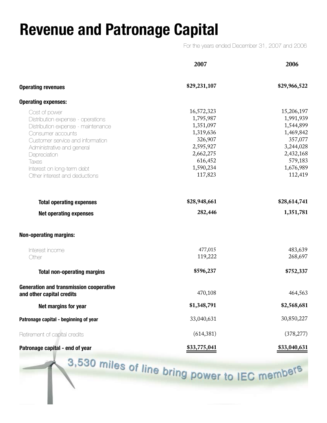## **Revenue and Patronage Capital**

For the years ended December 31, 2007 and 2006

|                                                                                                                                                                                                                                                                         | 2007                                                                                                                      | 2006                                                                                                                      |
|-------------------------------------------------------------------------------------------------------------------------------------------------------------------------------------------------------------------------------------------------------------------------|---------------------------------------------------------------------------------------------------------------------------|---------------------------------------------------------------------------------------------------------------------------|
| <b>Operating revenues</b>                                                                                                                                                                                                                                               | \$29,231,107                                                                                                              | \$29,966,522                                                                                                              |
| <b>Operating expenses:</b>                                                                                                                                                                                                                                              |                                                                                                                           |                                                                                                                           |
| Cost of power<br>Distribution expense - operations<br>Distribution expense - maintenance<br>Consumer accounts<br>Customer service and information<br>Administrative and general<br>Depreciation<br>Taxes<br>Interest on long-term debt<br>Other interest and deductions | 16,572,323<br>1,795,987<br>1,351,097<br>1,319,636<br>326,907<br>2,595,927<br>2,662,275<br>616,452<br>1,590,234<br>117,823 | 15,206,197<br>1,991,939<br>1,544,899<br>1,469,842<br>357,077<br>3,244,028<br>2,432,168<br>579,183<br>1,676,989<br>112,419 |
| <b>Total operating expenses</b>                                                                                                                                                                                                                                         | \$28,948,661                                                                                                              | \$28,614,741                                                                                                              |
| <b>Net operating expenses</b>                                                                                                                                                                                                                                           | 282,446                                                                                                                   | 1,351,781                                                                                                                 |
| <b>Non-operating margins:</b>                                                                                                                                                                                                                                           |                                                                                                                           |                                                                                                                           |
| Interest income<br>Other                                                                                                                                                                                                                                                | 477,015<br>119,222                                                                                                        | 483,639<br>268,697                                                                                                        |
| <b>Total non-operating margins</b>                                                                                                                                                                                                                                      | \$596,237                                                                                                                 | \$752,337                                                                                                                 |
| <b>Generation and transmission cooperative</b><br>and other capital credits                                                                                                                                                                                             | 470,108                                                                                                                   | 464,563                                                                                                                   |
| Net margins for year                                                                                                                                                                                                                                                    | \$1,348,791                                                                                                               | \$2,568,681                                                                                                               |
| Patronage capital - beginning of year                                                                                                                                                                                                                                   | 33,040,631                                                                                                                | 30,850,227                                                                                                                |
| Retirement of capital credits                                                                                                                                                                                                                                           | (614, 381)                                                                                                                | (378, 277)                                                                                                                |
| Patronage capital - end of year                                                                                                                                                                                                                                         | <u>\$33,775,041</u>                                                                                                       | <b>\$33,040,631</b>                                                                                                       |

3,530 miles of line bring power to IEC members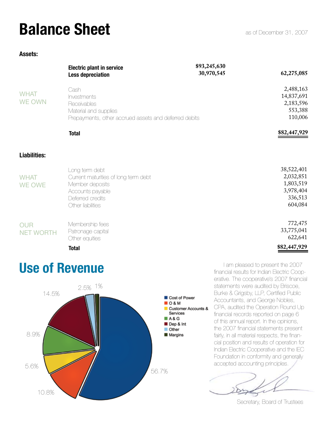## **Balance Sheet**

#### **Assets:**

|                                | <b>Electric plant in service</b><br><b>Less depreciation</b>                                                                           | \$93,245,630<br>30,970,545 | 62,275,085                                                              |
|--------------------------------|----------------------------------------------------------------------------------------------------------------------------------------|----------------------------|-------------------------------------------------------------------------|
| <b>WHAT</b><br><b>WE OWN</b>   | Cash<br>Investments<br>Receivables<br>Material and supplies<br>Prepayments, other accrued assets and deferred debits                   |                            | 2,488,163<br>14,837,691<br>2,183,596<br>553,388<br>110,006              |
|                                | <b>Total</b>                                                                                                                           |                            | \$82,447,929                                                            |
| <b>Liabilities:</b>            |                                                                                                                                        |                            |                                                                         |
| <b>WHAT</b><br><b>WE OWE</b>   | Long term debt<br>Current maturities of long term debt<br>Member deposits<br>Accounts payable<br>Deferred credits<br>Other liabilities |                            | 38,522,401<br>2,032,851<br>1,803,519<br>3,978,404<br>336,513<br>604,084 |
| <b>OUR</b><br><b>NET WORTH</b> | Membership fees<br>Patronage capital<br>Other equities                                                                                 |                            | 772,475<br>33,775,041<br>622,641                                        |
|                                | <b>Total</b>                                                                                                                           |                            | \$82,447,929                                                            |

## **Use of Revenue**



I am pleased to present the 2007 financial results for Indian Electric Cooperative. The cooperative's 2007 financial statements were audited by Briscoe, Burke & Grigsby, LLP, Certified Public Accountants, and George Nobles, CPA, audited the Operation Round Up financial records reported on page 6 of this annual report. In the opinions, the 2007 financial statements present fairly, in all material respects, the financial position and results of operation for Indian Electric Cooperative and the IEC Foundation in conformity and generally accepted accounting principles.

Secretary, Board of Trustees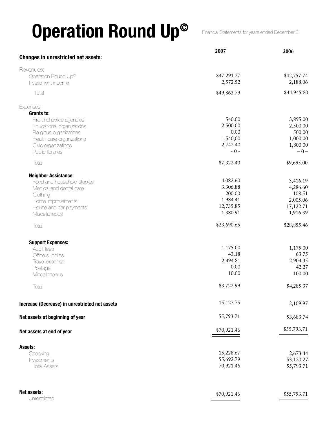# **Operation Round Up©**

Financial Statements for years ended December 31

|                                                | 2007        | 2006        |
|------------------------------------------------|-------------|-------------|
| <b>Changes in unrestricted net assets:</b>     |             |             |
| Revenues:                                      |             |             |
| Operation Round Up <sup>®</sup>                | \$47,291.27 | \$42,757.74 |
| Investment income                              | 2,572.52    | 2,188.06    |
| Total                                          | \$49,863.79 | \$44,945.80 |
| Expenses:                                      |             |             |
| Grants to:                                     |             |             |
| Fire and police agencies                       | 540.00      | 3,895.00    |
| Educational organizations                      | 2,500.00    | 2,500.00    |
| Religious organizations                        | 0.00        | 500.00      |
| Health care organizations                      | 1,540,00    | 1,000.00    |
| Civic organizations                            | 2,742.40    | 1,800.00    |
| Public libraries                               | $-0-$       | $-0-$       |
| Total                                          | \$7,322.40  | \$9,695.00  |
| <b>Neighbor Assistance:</b>                    |             |             |
| Food and household staples                     | 4,082.60    | 3,416.19    |
| Medical and dental care                        | 3.306.88    | 4,286.60    |
| Clothing                                       | 200.00      | 108.51      |
| Home improvements                              | 1,984.41    | 2.005.06    |
| House and car payments                         | 12,735.85   | 17,122.71   |
| Miscellaneous                                  | 1,380.91    | 1,916.39    |
| Total                                          | \$23,690.65 | \$28,855.46 |
| <b>Support Expenses:</b>                       |             |             |
| Audit fees                                     | 1,175.00    | 1,175.00    |
| Office supplies                                | 43.18       | 63.75       |
| Travel expense                                 | 2,494.81    | 2,904.35    |
| Postage                                        | 0.00        | 42.27       |
| Miscellaneous                                  | 10.00       | 100.00      |
| Total                                          | \$3,722.99  | \$4,285.37  |
| Increase (Decrease) in unrestricted net assets | 15,127.75   | 2,109.97    |
|                                                |             |             |
| Net assets at beginning of year                | 55,793.71   | 53,683.74   |
| Net assets at end of year                      | \$70,921.46 | \$55,793.71 |
| Assets:                                        |             |             |
| Checking                                       | 15,228.67   | 2,673.44    |
| Investments                                    | 55,692.79   | 53,120.27   |
| <b>Total Assets</b>                            | 70,921.46   | 55,793.71   |
|                                                |             |             |
| Net assets:                                    | \$70,921.46 | \$55,793.71 |
| Unrestricted                                   |             |             |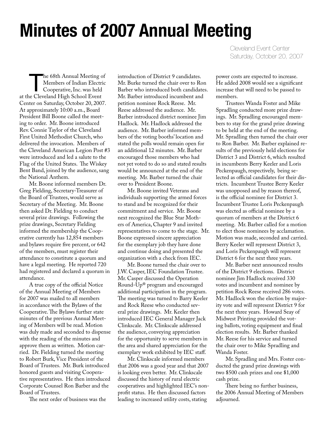## **Minutes of 2007 Annual Meeting**

The 68th Annual Meeting of<br>Members of Indian Electric<br>Cooperative, Inc. was held Members of Indian Electric Cooperative, Inc. was held at the Cleveland High School Event Center on Saturday, October 20, 2007. At approximately 10:00 a.m., Board President Bill Boone called the meeting to order. Mr. Boone introduced Rev. Connie Taylor of the Cleveland First United Methodist Church, who delivered the invocation. Members of the Cleveland American Legion Post #3 were introduced and led a salute to the Flag of the United States. The Wiskey Bent Band, joined by the audience, sang the National Anthem.

Mr. Boone informed members Dr. Greg Fielding, Secretary-Treasurer of the Board of Trustees, would serve as Secretary of the Meeting. Mr. Boone then asked Dr. Fielding to conduct several prize drawings. Following the prize drawings, Secretary Fielding informed the membership the Cooperative currently has 12,854 members and bylaws require five percent, or 642 of the members, must register their attendance to constitute a quorum and have a legal meeting. He reported 720 had registered and declared a quorum in attendance.

A true copy of the official Notice of the Annual Meeting of Members for 2007 was mailed to all members in accordance with the Bylaws of the Cooperative. The Bylaws further state minutes of the previous Annual Meeting of Members will be read. Motion was duly made and seconded to dispense with the reading of the minutes and approve them as written. Motion carried. Dr. Fielding turned the meeting to Robert Burk, Vice President of the Board of Trustees. Mr. Burk introduced honored guests and visiting Cooperative representatives. He then introduced Corporate Counsel Ron Barber and the Board of Trustees.

The next order of business was the

introduction of District 9 candidates. Mr. Burke turned the chair over to Ron Barber who introduced both candidates. Mr. Barber introduced incumbent and petition nominee Rock Reese. Mr. Reese addressed the audience. Mr. Barber introduced district nominee Jim Hadlock. Mr. Hadlock addressed the audience. Mr. Barber informed members of the voting booths' location and stated the polls would remain open for an additional 12 minutes. Mr. Barber encouraged those members who had not yet voted to do so and stated results would be announced at the end of the meeting. Mr. Barber turned the chair over to President Boone.

Mr. Boone invited Veterans and individuals supporting the armed forces to stand and be recognized for their commitment and service. Mr. Boone next recognized the Blue Star Mothers of America, Chapter 9 and invited representatives to come to the stage. Mr. Boone expressed sincere appreciation for the exemplary job they have done and continue doing and presented the organization with a check from IEC.

Mr. Boone turned the chair over to J.W. Casper, IEC Foundation Trustee. Mr. Casper discussed the Operation Round-Up® program and encouraged additional participation in the program. The meeting was turned to Barry Keeler and Rock Reese who conducted several prize drawings. Mr. Keeler then introduced IEC General Manager Jack Clinkscale. Mr. Clinkscale addressed the audience, conveying appreciation for the opportunity to serve members in the area and shared appreciation for the exemplary work exhibited by IEC staff.

Mr. Clinkscale informed members that 2006 was a good year and that 2007 is looking even better. Mr. Clinkscale discussed the history of rural electric cooperatives and highlighted IEC's nonprofit status. He then discussed factors leading to increased utility costs, stating

Cleveland Event Center Saturday, October 20, 2007

power costs are expected to increase. He added 2008 would see a significant increase that will need to be passed to members.

Trustees Wanda Foster and Mike Spradling conducted more prize drawings. Mr. Spradling encouraged members to stay for the grand prize drawing to be held at the end of the meeting. Mr. Spradling then turned the chair over to Ron Barber. Mr. Barber explained results of the previously held elections for District 3 and District 6, which resulted in incumbents Berry Keeler and Loris Peckenpaugh, respectively, being selected as official candidates for their districts. Incumbent Trustee Berry Keeler was unopposed and by reason thereof, is the official nominee for District 3. Incumbent Trustee Loris Peckenpaugh was elected as official nominee by a quorum of members at the District 6 meeting. Mr. Barber called for a motion to elect those nominees by acclamation. Motion was made, seconded and carried. Berry Keeler will represent District 3, and Loris Peckenpaugh will represent District 6 for the next three years.

Mr. Barber next announced results of the District 9 elections. District nominee Jim Hadlock received 330 votes and incumbent and nominee by petition Rock Reese received 286 votes. Mr. Hadlock won the election by majority vote and will represent District 9 for the next three years. Howard Seay of Midwest Printing provided the voting ballots, voting equipment and final election results. Mr. Barber thanked Mr. Reese for his service and turned the chair over to Mike Spradling and Wanda Foster.

Mr. Spradling and Mrs. Foster conducted the grand prize drawings with two \$500 cash prizes and one \$1,000 cash prize.

There being no further business, the 2006 Annual Meeting of Members adjourned.